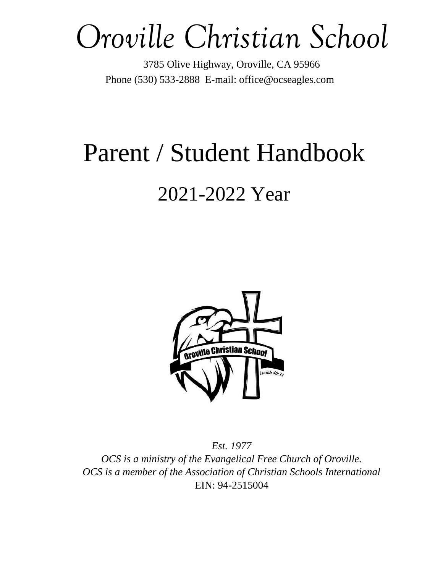*Oroville Christian School* 

3785 Olive Highway, Oroville, CA 95966 Phone (530) 533-2888 E-mail: office@ocseagles.com

# Parent / Student Handbook

# 2021-2022 Year



*Est. 1977 OCS is a ministry of the Evangelical Free Church of Oroville. OCS is a member of the Association of Christian Schools International*  EIN: 94-2515004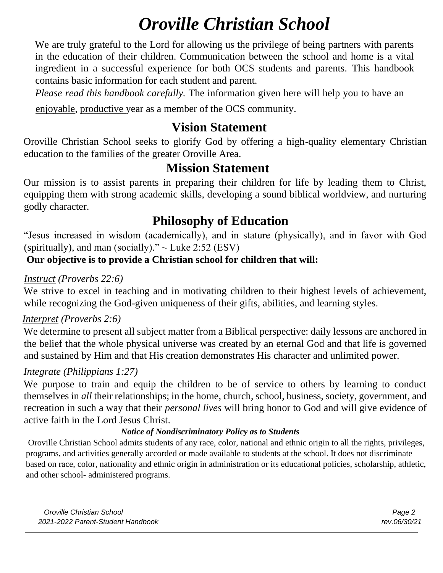# *Oroville Christian School*

We are truly grateful to the Lord for allowing us the privilege of being partners with parents in the education of their children. Communication between the school and home is a vital ingredient in a successful experience for both OCS students and parents. This handbook contains basic information for each student and parent.

*Please read this handbook carefully.* The information given here will help you to have an

enjoyable, productive year as a member of the OCS community.

### **Vision Statement**

Oroville Christian School seeks to glorify God by offering a high-quality elementary Christian education to the families of the greater Oroville Area.

### **Mission Statement**

Our mission is to assist parents in preparing their children for life by leading them to Christ, equipping them with strong academic skills, developing a sound biblical worldview, and nurturing godly character.

### **Philosophy of Education**

"Jesus increased in wisdom (academically), and in stature (physically), and in favor with God (spiritually), and man (socially)."  $\sim$  Luke 2:52 (ESV)

#### **Our objective is to provide a Christian school for children that will:**

#### *Instruct (Proverbs 22:6)*

We strive to excel in teaching and in motivating children to their highest levels of achievement, while recognizing the God-given uniqueness of their gifts, abilities, and learning styles.

#### *Interpret (Proverbs 2:6)*

We determine to present all subject matter from a Biblical perspective: daily lessons are anchored in the belief that the whole physical universe was created by an eternal God and that life is governed and sustained by Him and that His creation demonstrates His character and unlimited power.

#### *Integrate (Philippians 1:27)*

We purpose to train and equip the children to be of service to others by learning to conduct themselves in *all* their relationships; in the home, church, school, business, society, government, and recreation in such a way that their *personal lives* will bring honor to God and will give evidence of active faith in the Lord Jesus Christ.

#### *Notice of Nondiscriminatory Policy as to Students*

Oroville Christian School admits students of any race, color, national and ethnic origin to all the rights, privileges, programs, and activities generally accorded or made available to students at the school. It does not discriminate based on race, color, nationality and ethnic origin in administration or its educational policies, scholarship, athletic, and other school- administered programs.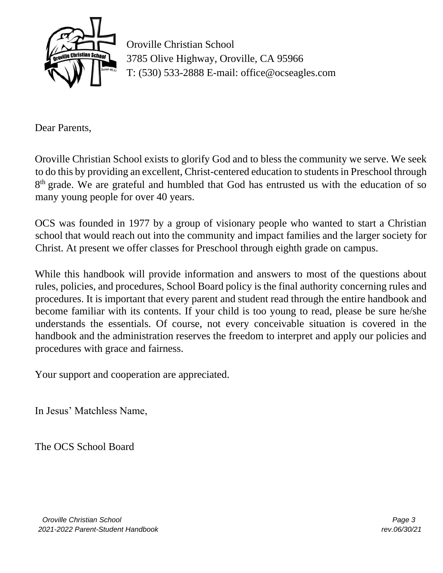

Oroville Christian School 3785 Olive Highway, Oroville, CA 95966 T: (530) 533-2888 E-mail: office@ocseagles.com

Dear Parents,

Oroville Christian School exists to glorify God and to bless the community we serve. We seek to do this by providing an excellent, Christ-centered education to students in Preschool through 8<sup>th</sup> grade. We are grateful and humbled that God has entrusted us with the education of so many young people for over 40 years.

OCS was founded in 1977 by a group of visionary people who wanted to start a Christian school that would reach out into the community and impact families and the larger society for Christ. At present we offer classes for Preschool through eighth grade on campus.

While this handbook will provide information and answers to most of the questions about rules, policies, and procedures, School Board policy is the final authority concerning rules and procedures. It is important that every parent and student read through the entire handbook and become familiar with its contents. If your child is too young to read, please be sure he/she understands the essentials. Of course, not every conceivable situation is covered in the handbook and the administration reserves the freedom to interpret and apply our policies and procedures with grace and fairness.

Your support and cooperation are appreciated.

In Jesus' Matchless Name,

The OCS School Board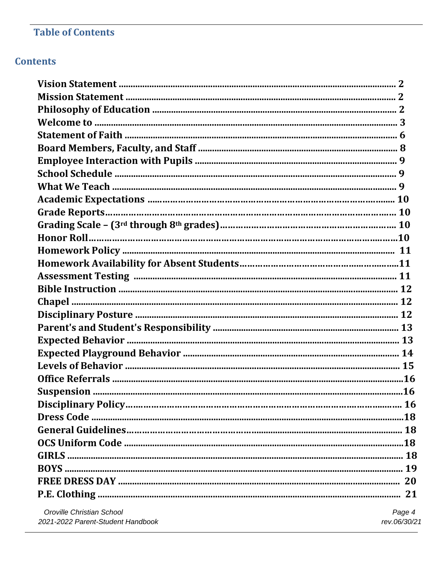#### **Table of Contents**

#### **Contents**

| Oroville Christian School         | Page 4       |
|-----------------------------------|--------------|
| 2021-2022 Parent-Student Handbook | rev.06/30/21 |
|                                   |              |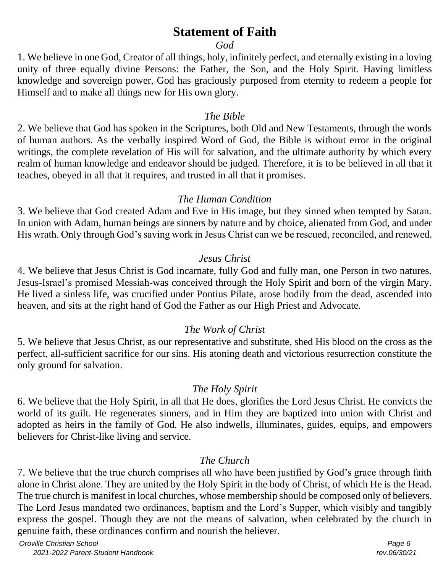### **Statement of Faith**

#### *God*

1. We believe in one God, Creator of all things, holy, infinitely perfect, and eternally existing in a loving unity of three equally divine Persons: the Father, the Son, and the Holy Spirit. Having limitless knowledge and sovereign power, God has graciously purposed from eternity to redeem a people for Himself and to make all things new for His own glory.

#### *The Bible*

2. We believe that God has spoken in the Scriptures, both Old and New Testaments, through the words of human authors. As the verbally inspired Word of God, the Bible is without error in the original writings, the complete revelation of His will for salvation, and the ultimate authority by which every realm of human knowledge and endeavor should be judged. Therefore, it is to be believed in all that it teaches, obeyed in all that it requires, and trusted in all that it promises.

#### *The Human Condition*

3. We believe that God created Adam and Eve in His image, but they sinned when tempted by Satan. In union with Adam, human beings are sinners by nature and by choice, alienated from God, and under His wrath. Only through God's saving work in Jesus Christ can we be rescued, reconciled, and renewed.

#### *Jesus Christ*

4. We believe that Jesus Christ is God incarnate, fully God and fully man, one Person in two natures. Jesus-Israel's promised Messiah-was conceived through the Holy Spirit and born of the virgin Mary. He lived a sinless life, was crucified under Pontius Pilate, arose bodily from the dead, ascended into heaven, and sits at the right hand of God the Father as our High Priest and Advocate.

#### *The Work of Christ*

5. We believe that Jesus Christ, as our representative and substitute, shed His blood on the cross as the perfect, all-sufficient sacrifice for our sins. His atoning death and victorious resurrection constitute the only ground for salvation.

#### *The Holy Spirit*

6. We believe that the Holy Spirit, in all that He does, glorifies the Lord Jesus Christ. He convicts the world of its guilt. He regenerates sinners, and in Him they are baptized into union with Christ and adopted as heirs in the family of God. He also indwells, illuminates, guides, equips, and empowers believers for Christ-like living and service.

#### *The Church*

7. We believe that the true church comprises all who have been justified by God's grace through faith alone in Christ alone. They are united by the Holy Spirit in the body of Christ, of which He is the Head. The true church is manifest in local churches, whose membership should be composed only of believers. The Lord Jesus mandated two ordinances, baptism and the Lord's Supper, which visibly and tangibly express the gospel. Though they are not the means of salvation, when celebrated by the church in genuine faith, these ordinances confirm and nourish the believer.

*Oroville Christian School Page 6 2021-2022 Parent-Student Handbook rev.06/30/21*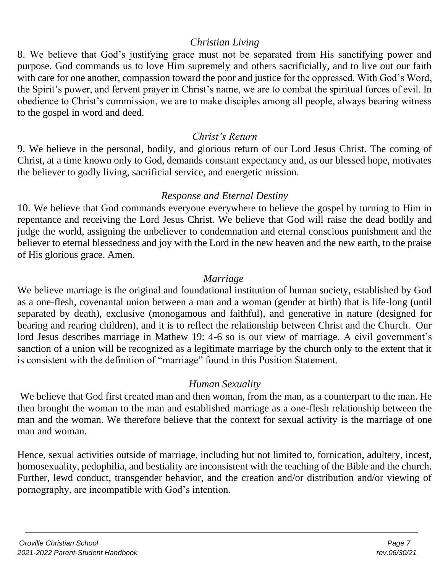#### *Christian Living*

8. We believe that God's justifying grace must not be separated from His sanctifying power and purpose. God commands us to love Him supremely and others sacrificially, and to live out our faith with care for one another, compassion toward the poor and justice for the oppressed. With God's Word, the Spirit's power, and fervent prayer in Christ's name, we are to combat the spiritual forces of evil. In obedience to Christ's commission, we are to make disciples among all people, always bearing witness to the gospel in word and deed.

#### *Christ's Return*

9. We believe in the personal, bodily, and glorious return of our Lord Jesus Christ. The coming of Christ, at a time known only to God, demands constant expectancy and, as our blessed hope, motivates the believer to godly living, sacrificial service, and energetic mission.

#### *Response and Eternal Destiny*

10. We believe that God commands everyone everywhere to believe the gospel by turning to Him in repentance and receiving the Lord Jesus Christ. We believe that God will raise the dead bodily and judge the world, assigning the unbeliever to condemnation and eternal conscious punishment and the believer to eternal blessedness and joy with the Lord in the new heaven and the new earth, to the praise of His glorious grace. Amen.

#### *Marriage*

We believe marriage is the original and foundational institution of human society, established by God as a one-flesh, covenantal union between a man and a woman (gender at birth) that is life-long (until separated by death), exclusive (monogamous and faithful), and generative in nature (designed for bearing and rearing children), and it is to reflect the relationship between Christ and the Church. Our lord Jesus describes marriage in Mathew 19: 4-6 so is our view of marriage. A civil government's sanction of a union will be recognized as a legitimate marriage by the church only to the extent that it is consistent with the definition of "marriage" found in this Position Statement.

#### *Human Sexuality*

We believe that God first created man and then woman, from the man, as a counterpart to the man. He then brought the woman to the man and established marriage as a one-flesh relationship between the man and the woman. We therefore believe that the context for sexual activity is the marriage of one man and woman.

Hence, sexual activities outside of marriage, including but not limited to, fornication, adultery, incest, homosexuality, pedophilia, and bestiality are inconsistent with the teaching of the Bible and the church. Further, lewd conduct, transgender behavior, and the creation and/or distribution and/or viewing of pornography, are incompatible with God's intention.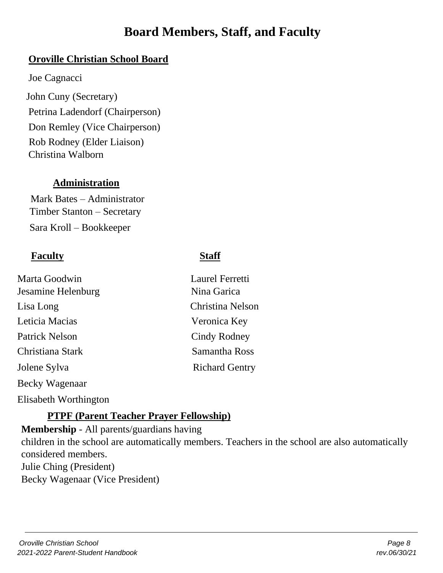### **Board Members, Staff, and Faculty**

#### **Oroville Christian School Board**

Joe Cagnacci

 John Cuny (Secretary) Petrina Ladendorf (Chairperson) Don Remley (Vice Chairperson) Rob Rodney (Elder Liaison) Christina Walborn

#### **Administration**

Mark Bates – Administrator Timber Stanton – Secretary Sara Kroll – Bookkeeper

#### **Faculty Staff**

| Marta Goodwin      | Laurel Ferretti       |
|--------------------|-----------------------|
| Jesamine Helenburg | Nina Garica           |
| Lisa Long          | Christina Nelson      |
| Leticia Macias     | Veronica Key          |
| Patrick Nelson     | Cindy Rodney          |
| Christiana Stark   | Samantha Ross         |
| Jolene Sylva       | <b>Richard Gentry</b> |
| Becky Wagenaar     |                       |

Elisabeth Worthington

#### **PTPF (Parent Teacher Prayer Fellowship)**

**Membership** - All parents/guardians having children in the school are automatically members. Teachers in the school are also automatically considered members. Julie Ching (President) Becky Wagenaar (Vice President)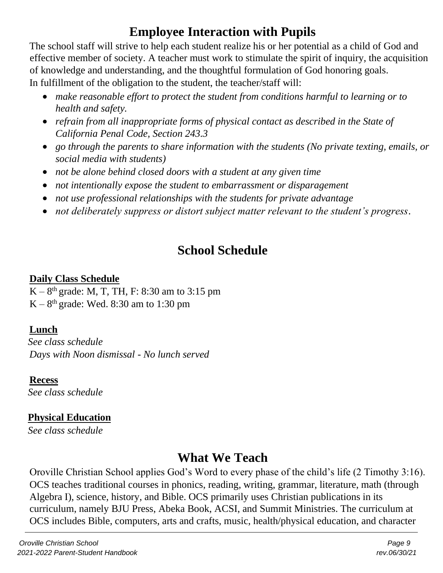### **Employee Interaction with Pupils**

The school staff will strive to help each student realize his or her potential as a child of God and effective member of society. A teacher must work to stimulate the spirit of inquiry, the acquisition of knowledge and understanding, and the thoughtful formulation of God honoring goals. In fulfillment of the obligation to the student, the teacher/staff will:

- *make reasonable effort to protect the student from conditions harmful to learning or to health and safety.*
- *refrain from all inappropriate forms of physical contact as described in the State of California Penal Code, Section 243.3*
- *go through the parents to share information with the students (No private texting, emails, or social media with students)*
- *not be alone behind closed doors with a student at any given time*
- *not intentionally expose the student to embarrassment or disparagement*
- *not use professional relationships with the students for private advantage*
- *not deliberately suppress or distort subject matter relevant to the student's progress*.

### **School Schedule**

#### **Daily Class Schedule**

 $K - 8<sup>th</sup>$  grade: M, T, TH, F: 8:30 am to 3:15 pm  $K - 8<sup>th</sup>$  grade: Wed. 8:30 am to 1:30 pm

#### **Lunch**

*See class schedule Days with Noon dismissal - No lunch served* 

**Recess** *See class schedule* 

#### **Physical Education**

*See class schedule* 

### **What We Teach**

Oroville Christian School applies God's Word to every phase of the child's life (2 Timothy 3:16). OCS teaches traditional courses in phonics, reading, writing, grammar, literature, math (through Algebra I), science, history, and Bible. OCS primarily uses Christian publications in its curriculum, namely BJU Press, Abeka Book, ACSI, and Summit Ministries. The curriculum at OCS includes Bible, computers, arts and crafts, music, health/physical education, and character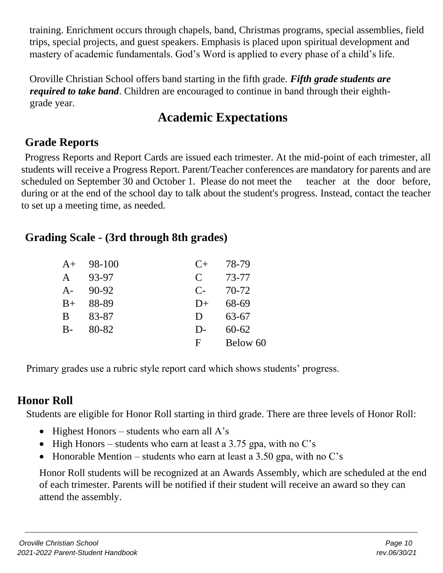training. Enrichment occurs through chapels, band, Christmas programs, special assemblies, field trips, special projects, and guest speakers. Emphasis is placed upon spiritual development and mastery of academic fundamentals. God's Word is applied to every phase of a child's life.

Oroville Christian School offers band starting in the fifth grade. *Fifth grade students are required to take band*. Children are encouraged to continue in band through their eighthgrade year.

### **Academic Expectations**

### **Grade Reports**

Progress Reports and Report Cards are issued each trimester. At the mid-point of each trimester, all students will receive a Progress Report. Parent/Teacher conferences are mandatory for parents and are scheduled on September 30 and October 1. Please do not meet the teacher at the door before, during or at the end of the school day to talk about the student's progress. Instead, contact the teacher to set up a meeting time, as needed.

### **Grading Scale - (3rd through 8th grades)**

| $A+$  | 98-100    | $($ +         | 78-79     |
|-------|-----------|---------------|-----------|
| A     | 93-97     | $\mathcal{C}$ | 73-77     |
| $A-$  | $90 - 92$ | $C-$          | 70-72     |
| $B+$  | 88-89     | $D+$          | 68-69     |
| B     | 83-87     | D             | 63-67     |
| $B -$ | 80-82     | $D-$          | $60 - 62$ |
|       |           | F             | Below 60  |

Primary grades use a rubric style report card which shows students' progress.

### **Honor Roll**

Students are eligible for Honor Roll starting in third grade. There are three levels of Honor Roll:

- Highest Honors students who earn all A's
- High Honors students who earn at least a 3.75 gpa, with no  $C$ 's
- Honorable Mention students who earn at least a 3.50 gpa, with no  $C$ 's

Honor Roll students will be recognized at an Awards Assembly, which are scheduled at the end of each trimester. Parents will be notified if their student will receive an award so they can attend the assembly.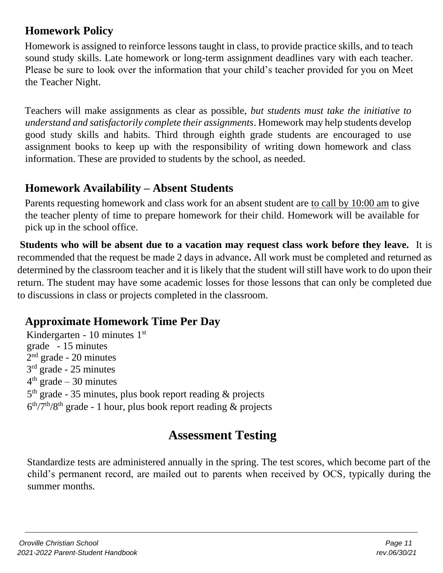### **Homework Policy**

Homework is assigned to reinforce lessons taught in class, to provide practice skills, and to teach sound study skills. Late homework or long-term assignment deadlines vary with each teacher. Please be sure to look over the information that your child's teacher provided for you on Meet the Teacher Night.

Teachers will make assignments as clear as possible, *but students must take the initiative to understand and satisfactorily complete their assignments*. Homework may help students develop good study skills and habits. Third through eighth grade students are encouraged to use assignment books to keep up with the responsibility of writing down homework and class information. These are provided to students by the school, as needed.

#### **Homework Availability – Absent Students**

Parents requesting homework and class work for an absent student are to call by 10:00 am to give the teacher plenty of time to prepare homework for their child. Homework will be available for pick up in the school office.

**Students who will be absent due to a vacation may request class work before they leave.** It is recommended that the request be made 2 days in advance**.** All work must be completed and returned as determined by the classroom teacher and it is likely that the student will still have work to do upon their return. The student may have some academic losses for those lessons that can only be completed due to discussions in class or projects completed in the classroom.

### **Approximate Homework Time Per Day**

Kindergarten - 10 minutes 1st grade - 15 minutes 2 nd grade - 20 minutes 3 rd grade - 25 minutes  $4<sup>th</sup>$  grade – 30 minutes 5<sup>th</sup> grade - 35 minutes, plus book report reading & projects 6<sup>th</sup>/7<sup>th</sup>/8<sup>th</sup> grade - 1 hour, plus book report reading & projects

### **Assessment Testing**

Standardize tests are administered annually in the spring. The test scores, which become part of the child's permanent record, are mailed out to parents when received by OCS, typically during the summer months.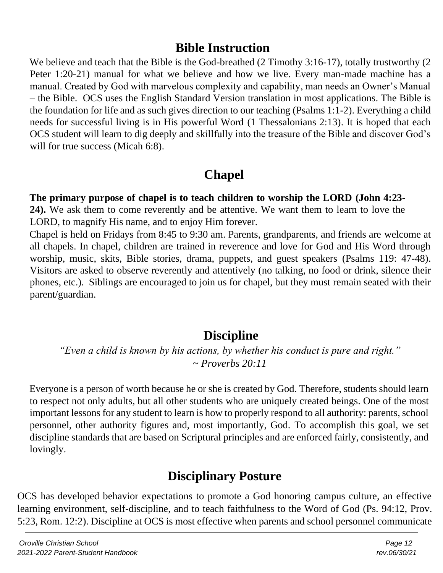### **Bible Instruction**

We believe and teach that the Bible is the God-breathed (2 Timothy 3:16-17), totally trustworthy (2 Peter 1:20-21) manual for what we believe and how we live. Every man-made machine has a manual. Created by God with marvelous complexity and capability, man needs an Owner's Manual – the Bible. OCS uses the English Standard Version translation in most applications. The Bible is the foundation for life and as such gives direction to our teaching (Psalms 1:1-2). Everything a child needs for successful living is in His powerful Word (1 Thessalonians 2:13). It is hoped that each OCS student will learn to dig deeply and skillfully into the treasure of the Bible and discover God's will for true success (Micah 6:8).

### **Chapel**

**The primary purpose of chapel is to teach children to worship the LORD (John 4:23-**

**24).** We ask them to come reverently and be attentive. We want them to learn to love the LORD, to magnify His name, and to enjoy Him forever.

Chapel is held on Fridays from 8:45 to 9:30 am. Parents, grandparents, and friends are welcome at all chapels. In chapel, children are trained in reverence and love for God and His Word through worship, music, skits, Bible stories, drama, puppets, and guest speakers (Psalms 119: 47-48). Visitors are asked to observe reverently and attentively (no talking, no food or drink, silence their phones, etc.). Siblings are encouraged to join us for chapel, but they must remain seated with their parent/guardian.

### **Discipline**

*"Even a child is known by his actions, by whether his conduct is pure and right." ~ Proverbs 20:11* 

Everyone is a person of worth because he or she is created by God. Therefore, students should learn to respect not only adults, but all other students who are uniquely created beings. One of the most important lessons for any student to learn is how to properly respond to all authority: parents, school personnel, other authority figures and, most importantly, God. To accomplish this goal, we set discipline standards that are based on Scriptural principles and are enforced fairly, consistently, and lovingly.

### **Disciplinary Posture**

OCS has developed behavior expectations to promote a God honoring campus culture, an effective learning environment, self-discipline, and to teach faithfulness to the Word of God (Ps. 94:12, Prov. 5:23, Rom. 12:2). Discipline at OCS is most effective when parents and school personnel communicate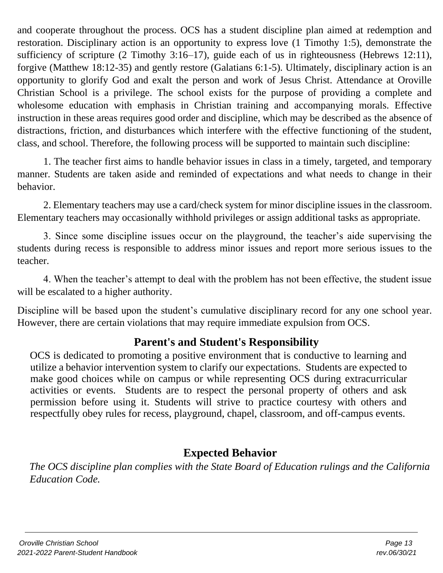and cooperate throughout the process. OCS has a student discipline plan aimed at redemption and restoration. Disciplinary action is an opportunity to express love (1 Timothy 1:5), demonstrate the sufficiency of scripture (2 Timothy 3:16–17), guide each of us in righteousness (Hebrews 12:11), forgive (Matthew 18:12-35) and gently restore (Galatians 6:1-5). Ultimately, disciplinary action is an opportunity to glorify God and exalt the person and work of Jesus Christ. Attendance at Oroville Christian School is a privilege. The school exists for the purpose of providing a complete and wholesome education with emphasis in Christian training and accompanying morals. Effective instruction in these areas requires good order and discipline, which may be described as the absence of distractions, friction, and disturbances which interfere with the effective functioning of the student, class, and school. Therefore, the following process will be supported to maintain such discipline:

1. The teacher first aims to handle behavior issues in class in a timely, targeted, and temporary manner. Students are taken aside and reminded of expectations and what needs to change in their behavior.

2. Elementary teachers may use a card/check system for minor discipline issues in the classroom. Elementary teachers may occasionally withhold privileges or assign additional tasks as appropriate.

3. Since some discipline issues occur on the playground, the teacher's aide supervising the students during recess is responsible to address minor issues and report more serious issues to the teacher.

4. When the teacher's attempt to deal with the problem has not been effective, the student issue will be escalated to a higher authority.

Discipline will be based upon the student's cumulative disciplinary record for any one school year. However, there are certain violations that may require immediate expulsion from OCS.

#### **Parent's and Student's Responsibility**

OCS is dedicated to promoting a positive environment that is conductive to learning and utilize a behavior intervention system to clarify our expectations. Students are expected to make good choices while on campus or while representing OCS during extracurricular activities or events. Students are to respect the personal property of others and ask permission before using it. Students will strive to practice courtesy with others and respectfully obey rules for recess, playground, chapel, classroom, and off-campus events.

### **Expected Behavior**

*The OCS discipline plan complies with the State Board of Education rulings and the California Education Code.*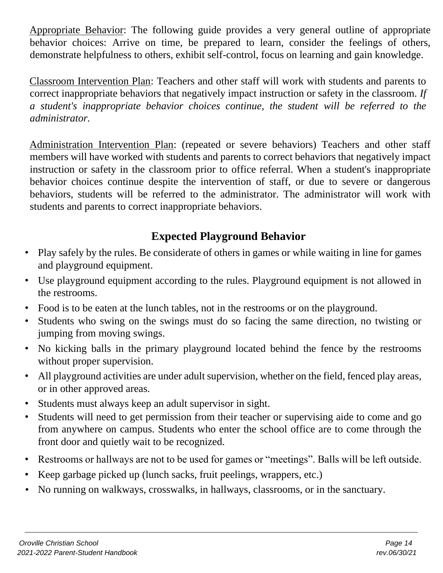Appropriate Behavior: The following guide provides a very general outline of appropriate behavior choices: Arrive on time, be prepared to learn, consider the feelings of others, demonstrate helpfulness to others, exhibit self-control, focus on learning and gain knowledge.

Classroom Intervention Plan: Teachers and other staff will work with students and parents to correct inappropriate behaviors that negatively impact instruction or safety in the classroom. *If a student's inappropriate behavior choices continue, the student will be referred to the administrator.* 

Administration Intervention Plan: (repeated or severe behaviors) Teachers and other staff members will have worked with students and parents to correct behaviors that negatively impact instruction or safety in the classroom prior to office referral. When a student's inappropriate behavior choices continue despite the intervention of staff, or due to severe or dangerous behaviors, students will be referred to the administrator. The administrator will work with students and parents to correct inappropriate behaviors.

### **Expected Playground Behavior**

- Play safely by the rules. Be considerate of others in games or while waiting in line for games and playground equipment.
- Use playground equipment according to the rules. Playground equipment is not allowed in the restrooms.
- Food is to be eaten at the lunch tables, not in the restrooms or on the playground.
- Students who swing on the swings must do so facing the same direction, no twisting or jumping from moving swings.
- No kicking balls in the primary playground located behind the fence by the restrooms without proper supervision.
- All playground activities are under adult supervision, whether on the field, fenced play areas, or in other approved areas.
- Students must always keep an adult supervisor in sight.
- Students will need to get permission from their teacher or supervising aide to come and go from anywhere on campus. Students who enter the school office are to come through the front door and quietly wait to be recognized.
- Restrooms or hallways are not to be used for games or "meetings". Balls will be left outside.
- Keep garbage picked up (lunch sacks, fruit peelings, wrappers, etc.)
- No running on walkways, crosswalks, in hallways, classrooms, or in the sanctuary.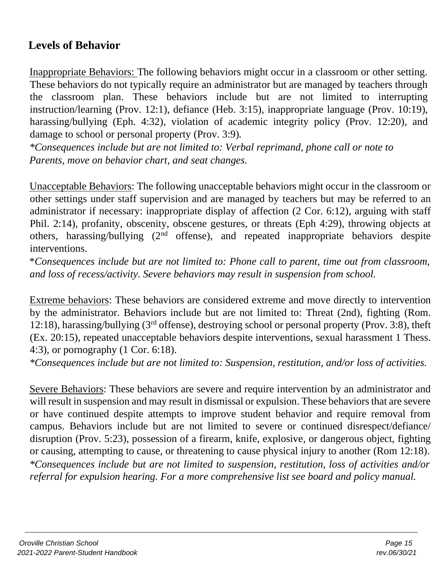### **Levels of Behavior**

Inappropriate Behaviors: The following behaviors might occur in a classroom or other setting. These behaviors do not typically require an administrator but are managed by teachers through the classroom plan. These behaviors include but are not limited to interrupting instruction/learning (Prov. 12:1), defiance (Heb. 3:15), inappropriate language (Prov. 10:19), harassing/bullying (Eph. 4:32), violation of academic integrity policy (Prov. 12:20), and damage to school or personal property (Prov. 3:9)*.* 

*\*Consequences include but are not limited to: Verbal reprimand, phone call or note to Parents, move on behavior chart, and seat changes.* 

Unacceptable Behaviors: The following unacceptable behaviors might occur in the classroom or other settings under staff supervision and are managed by teachers but may be referred to an administrator if necessary: inappropriate display of affection (2 Cor. 6:12), arguing with staff Phil. 2:14), profanity, obscenity, obscene gestures, or threats (Eph 4:29), throwing objects at others, harassing/bullying  $(2<sup>nd</sup>$  offense), and repeated inappropriate behaviors despite interventions.

\**Consequences include but are not limited to: Phone call to parent, time out from classroom, and loss of recess/activity. Severe behaviors may result in suspension from school.* 

Extreme behaviors: These behaviors are considered extreme and move directly to intervention by the administrator. Behaviors include but are not limited to: Threat (2nd), fighting (Rom. 12:18), harassing/bullying (3rd offense), destroying school or personal property (Prov. 3:8), theft (Ex. 20:15), repeated unacceptable behaviors despite interventions, sexual harassment 1 Thess. 4:3), or pornography (1 Cor. 6:18).

*\*Consequences include but are not limited to: Suspension, restitution, and/or loss of activities.* 

Severe Behaviors: These behaviors are severe and require intervention by an administrator and will result in suspension and may result in dismissal or expulsion. These behaviors that are severe or have continued despite attempts to improve student behavior and require removal from campus. Behaviors include but are not limited to severe or continued disrespect/defiance/ disruption (Prov. 5:23), possession of a firearm, knife, explosive, or dangerous object, fighting or causing, attempting to cause, or threatening to cause physical injury to another (Rom 12:18). *\*Consequences include but are not limited to suspension, restitution, loss of activities and/or referral for expulsion hearing. For a more comprehensive list see board and policy manual.*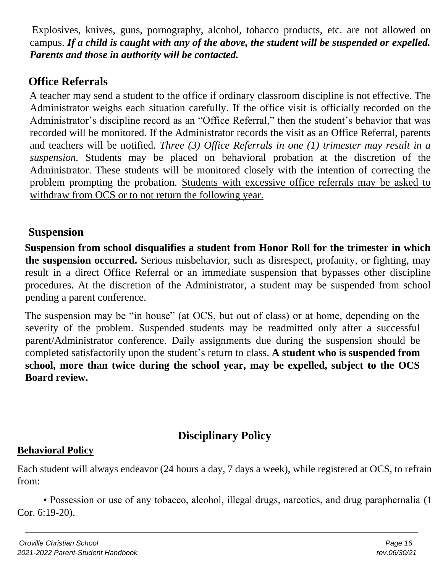Explosives, knives, guns, pornography, alcohol, tobacco products, etc. are not allowed on campus. *If a child is caught with any of the above, the student will be suspended or expelled. Parents and those in authority will be contacted.*

#### **Office Referrals**

A teacher may send a student to the office if ordinary classroom discipline is not effective. The Administrator weighs each situation carefully. If the office visit is officially recorded on the Administrator's discipline record as an "Office Referral," then the student's behavior that was recorded will be monitored. If the Administrator records the visit as an Office Referral, parents and teachers will be notified. *Three (3) Office Referrals in one (1) trimester may result in a suspension.* Students may be placed on behavioral probation at the discretion of the Administrator. These students will be monitored closely with the intention of correcting the problem prompting the probation. Students with excessive office referrals may be asked to withdraw from OCS or to not return the following year.

#### **Suspension**

**Suspension from school disqualifies a student from Honor Roll for the trimester in which the suspension occurred.** Serious misbehavior, such as disrespect, profanity, or fighting, may result in a direct Office Referral or an immediate suspension that bypasses other discipline procedures. At the discretion of the Administrator, a student may be suspended from school pending a parent conference.

The suspension may be "in house" (at OCS, but out of class) or at home, depending on the severity of the problem. Suspended students may be readmitted only after a successful parent/Administrator conference. Daily assignments due during the suspension should be completed satisfactorily upon the student's return to class. **A student who is suspended from school, more than twice during the school year, may be expelled, subject to the OCS Board review.** 

### **Disciplinary Policy**

#### **Behavioral Policy**

Each student will always endeavor (24 hours a day, 7 days a week), while registered at OCS, to refrain from:

• Possession or use of any tobacco, alcohol, illegal drugs, narcotics, and drug paraphernalia (1 Cor. 6:19-20).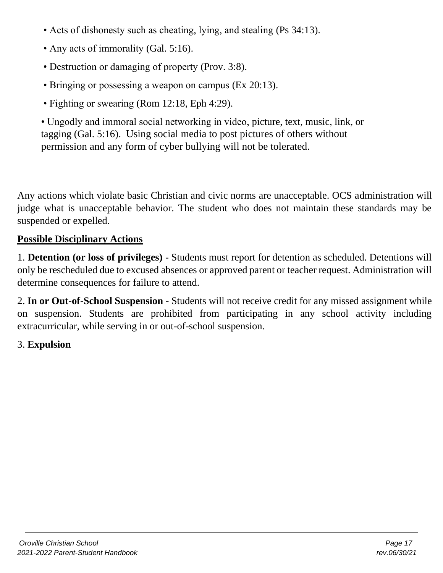- Acts of dishonesty such as cheating, lying, and stealing (Ps 34:13).
- Any acts of immorality (Gal. 5:16).
- Destruction or damaging of property (Prov. 3:8).
- Bringing or possessing a weapon on campus (Ex 20:13).
- Fighting or swearing (Rom 12:18, Eph 4:29).

• Ungodly and immoral social networking in video, picture, text, music, link, or tagging (Gal. 5:16). Using social media to post pictures of others without permission and any form of cyber bullying will not be tolerated.

Any actions which violate basic Christian and civic norms are unacceptable. OCS administration will judge what is unacceptable behavior. The student who does not maintain these standards may be suspended or expelled.

#### **Possible Disciplinary Actions**

1. **Detention (or loss of privileges)** - Students must report for detention as scheduled. Detentions will only be rescheduled due to excused absences or approved parent or teacher request. Administration will determine consequences for failure to attend.

2. **In or Out-of-School Suspension** - Students will not receive credit for any missed assignment while on suspension. Students are prohibited from participating in any school activity including extracurricular, while serving in or out-of-school suspension.

#### 3. **Expulsion**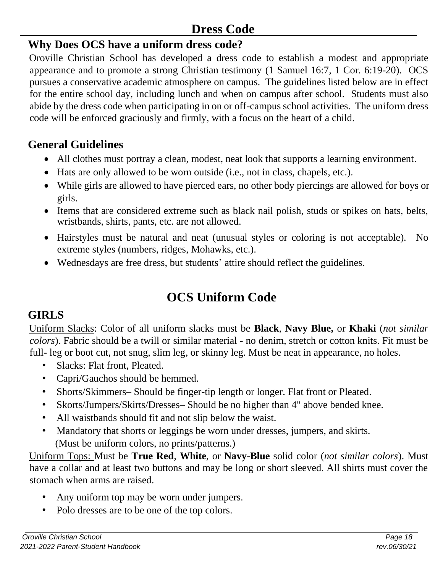### **Dress Code**

### **Why Does OCS have a uniform dress code?**

Oroville Christian School has developed a dress code to establish a modest and appropriate appearance and to promote a strong Christian testimony (1 Samuel 16:7, 1 Cor. 6:19-20). OCS pursues a conservative academic atmosphere on campus. The guidelines listed below are in effect for the entire school day, including lunch and when on campus after school. Students must also abide by the dress code when participating in on or off-campus school activities. The uniform dress code will be enforced graciously and firmly, with a focus on the heart of a child.

### **General Guidelines**

- All clothes must portray a clean, modest, neat look that supports a learning environment.
- Hats are only allowed to be worn outside (i.e., not in class, chapels, etc.).
- While girls are allowed to have pierced ears, no other body piercings are allowed for boys or girls.
- Items that are considered extreme such as black nail polish, studs or spikes on hats, belts, wristbands, shirts, pants, etc. are not allowed.
- Hairstyles must be natural and neat (unusual styles or coloring is not acceptable). No extreme styles (numbers, ridges, Mohawks, etc.).
- Wednesdays are free dress, but students' attire should reflect the guidelines.

### **OCS Uniform Code**

### **GIRLS**

Uniform Slacks: Color of all uniform slacks must be **Black**, **Navy Blue,** or **Khaki** (*not similar colors*). Fabric should be a twill or similar material - no denim, stretch or cotton knits. Fit must be full- leg or boot cut, not snug, slim leg, or skinny leg. Must be neat in appearance, no holes.

- Slacks: Flat front, Pleated.
- Capri/Gauchos should be hemmed.
- Shorts/Skimmers– Should be finger-tip length or longer. Flat front or Pleated.
- Skorts/Jumpers/Skirts/Dresses– Should be no higher than 4" above bended knee.
- All waistbands should fit and not slip below the waist.
- Mandatory that shorts or leggings be worn under dresses, jumpers, and skirts. (Must be uniform colors, no prints/patterns.)

Uniform Tops: Must be **True Red**, **White**, or **Navy-Blue** solid color (*not similar colors*). Must have a collar and at least two buttons and may be long or short sleeved. All shirts must cover the stomach when arms are raised.

- Any uniform top may be worn under jumpers.
- Polo dresses are to be one of the top colors.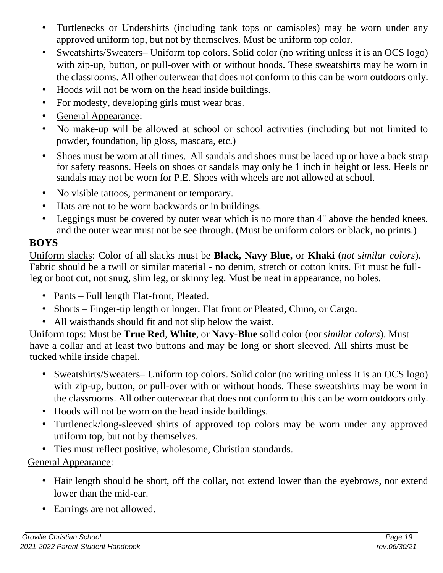- Turtlenecks or Undershirts (including tank tops or camisoles) may be worn under any approved uniform top, but not by themselves. Must be uniform top color.
- Sweatshirts/Sweaters– Uniform top colors. Solid color (no writing unless it is an OCS logo) with zip-up, button, or pull-over with or without hoods. These sweatshirts may be worn in the classrooms. All other outerwear that does not conform to this can be worn outdoors only.
- Hoods will not be worn on the head inside buildings.
- For modesty, developing girls must wear bras.
- General Appearance:
- No make-up will be allowed at school or school activities (including but not limited to powder, foundation, lip gloss, mascara, etc.)
- Shoes must be worn at all times. All sandals and shoes must be laced up or have a back strap for safety reasons. Heels on shoes or sandals may only be 1 inch in height or less. Heels or sandals may not be worn for P.E. Shoes with wheels are not allowed at school.
- No visible tattoos, permanent or temporary.
- Hats are not to be worn backwards or in buildings.
- Leggings must be covered by outer wear which is no more than 4" above the bended knees, and the outer wear must not be see through. (Must be uniform colors or black, no prints.)

#### **BOYS**

Uniform slacks: Color of all slacks must be **Black, Navy Blue,** or **Khaki** (*not similar colors*). Fabric should be a twill or similar material - no denim, stretch or cotton knits. Fit must be fullleg or boot cut, not snug, slim leg, or skinny leg. Must be neat in appearance, no holes.

- Pants Full length Flat-front, Pleated.
- Shorts Finger-tip length or longer. Flat front or Pleated, Chino, or Cargo.
- All waistbands should fit and not slip below the waist.

Uniform tops: Must be **True Red**, **White**, or **Navy-Blue** solid color (*not similar colors*). Must have a collar and at least two buttons and may be long or short sleeved. All shirts must be tucked while inside chapel.

- Sweatshirts/Sweaters– Uniform top colors. Solid color (no writing unless it is an OCS logo) with zip-up, button, or pull-over with or without hoods. These sweatshirts may be worn in the classrooms. All other outerwear that does not conform to this can be worn outdoors only.
- Hoods will not be worn on the head inside buildings.
- Turtleneck/long-sleeved shirts of approved top colors may be worn under any approved uniform top, but not by themselves.
- Ties must reflect positive, wholesome, Christian standards.

#### General Appearance:

- Hair length should be short, off the collar, not extend lower than the eyebrows, nor extend lower than the mid-ear.
- Earrings are not allowed.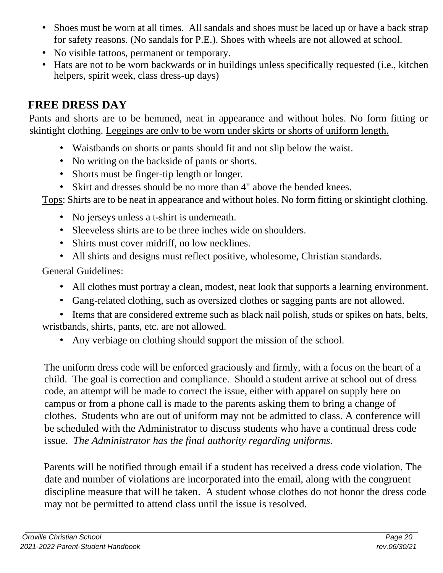- Shoes must be worn at all times. All sandals and shoes must be laced up or have a back strap for safety reasons. (No sandals for P.E.). Shoes with wheels are not allowed at school.
- No visible tattoos, permanent or temporary.
- Hats are not to be worn backwards or in buildings unless specifically requested (i.e., kitchen helpers, spirit week, class dress-up days)

### **FREE DRESS DAY**

Pants and shorts are to be hemmed, neat in appearance and without holes. No form fitting or skintight clothing. Leggings are only to be worn under skirts or shorts of uniform length.

- Waistbands on shorts or pants should fit and not slip below the waist.
- No writing on the backside of pants or shorts.
- Shorts must be finger-tip length or longer.
- Skirt and dresses should be no more than 4" above the bended knees.

Tops: Shirts are to be neat in appearance and without holes. No form fitting or skintight clothing.

- No jerseys unless a t-shirt is underneath.
- Sleeveless shirts are to be three inches wide on shoulders.
- Shirts must cover midriff, no low necklines.
- All shirts and designs must reflect positive, wholesome, Christian standards.

#### General Guidelines:

- All clothes must portray a clean, modest, neat look that supports a learning environment.
- Gang-related clothing, such as oversized clothes or sagging pants are not allowed.

• Items that are considered extreme such as black nail polish, studs or spikes on hats, belts, wristbands, shirts, pants, etc. are not allowed.

• Any verbiage on clothing should support the mission of the school.

The uniform dress code will be enforced graciously and firmly, with a focus on the heart of a child. The goal is correction and compliance. Should a student arrive at school out of dress code, an attempt will be made to correct the issue, either with apparel on supply here on campus or from a phone call is made to the parents asking them to bring a change of clothes. Students who are out of uniform may not be admitted to class. A conference will be scheduled with the Administrator to discuss students who have a continual dress code issue. *The Administrator has the final authority regarding uniforms.*

Parents will be notified through email if a student has received a dress code violation. The date and number of violations are incorporated into the email, along with the congruent discipline measure that will be taken. A student whose clothes do not honor the dress code may not be permitted to attend class until the issue is resolved.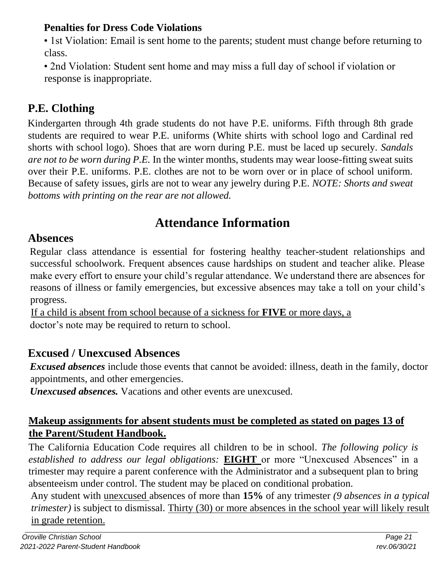#### **Penalties for Dress Code Violations**

• 1st Violation: Email is sent home to the parents; student must change before returning to class.

• 2nd Violation: Student sent home and may miss a full day of school if violation or response is inappropriate.

### **P.E. Clothing**

Kindergarten through 4th grade students do not have P.E. uniforms. Fifth through 8th grade students are required to wear P.E. uniforms (White shirts with school logo and Cardinal red shorts with school logo). Shoes that are worn during P.E. must be laced up securely. *Sandals are not to be worn during P.E.* In the winter months, students may wear loose-fitting sweat suits over their P.E. uniforms. P.E. clothes are not to be worn over or in place of school uniform. Because of safety issues, girls are not to wear any jewelry during P.E. *NOTE: Shorts and sweat bottoms with printing on the rear are not allowed.* 

### **Attendance Information**

#### **Absences**

Regular class attendance is essential for fostering healthy teacher-student relationships and successful schoolwork. Frequent absences cause hardships on student and teacher alike. Please make every effort to ensure your child's regular attendance. We understand there are absences for reasons of illness or family emergencies, but excessive absences may take a toll on your child's progress.

If a child is absent from school because of a sickness for **FIVE** or more days, a doctor's note may be required to return to school.

### **Excused / Unexcused Absences**

*Excused absences* include those events that cannot be avoided: illness, death in the family, doctor appointments, and other emergencies.

*Unexcused absences.* Vacations and other events are unexcused.

#### **Makeup assignments for absent students must be completed as stated on pages 13 of the Parent/Student Handbook.**

The California Education Code requires all children to be in school. *The following policy is established to address our legal obligations:* **EIGHT** or more "Unexcused Absences" in a trimester may require a parent conference with the Administrator and a subsequent plan to bring absenteeism under control. The student may be placed on conditional probation.

Any student with unexcused absences of more than **15%** of any trimester *(9 absences in a typical trimester*) is subject to dismissal. Thirty (30) or more absences in the school year will likely result in grade retention.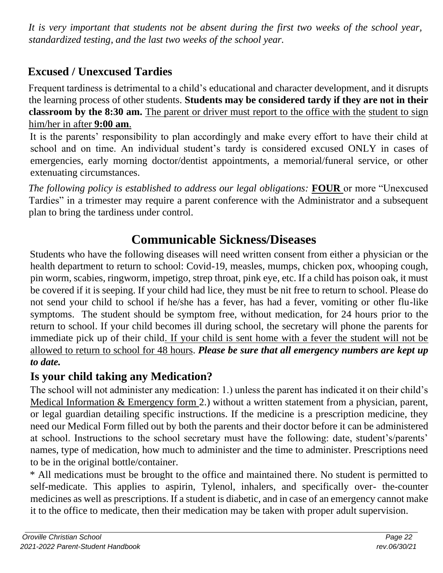*It is very important that students not be absent during the first two weeks of the school year, standardized testing, and the last two weeks of the school year.* 

### **Excused / Unexcused Tardies**

Frequent tardiness is detrimental to a child's educational and character development, and it disrupts the learning process of other students. **Students may be considered tardy if they are not in their classroom by the 8:30 am.** The parent or driver must report to the office with the student to sign him/her in after **9:00 am**.

It is the parents' responsibility to plan accordingly and make every effort to have their child at school and on time. An individual student's tardy is considered excused ONLY in cases of emergencies, early morning doctor/dentist appointments, a memorial/funeral service, or other extenuating circumstances.

*The following policy is established to address our legal obligations:* **FOUR** or more "Unexcused Tardies" in a trimester may require a parent conference with the Administrator and a subsequent plan to bring the tardiness under control.

### **Communicable Sickness/Diseases**

Students who have the following diseases will need written consent from either a physician or the health department to return to school: Covid-19, measles, mumps, chicken pox, whooping cough, pin worm, scabies, ringworm, impetigo, strep throat, pink eye, etc. If a child has poison oak, it must be covered if it is seeping. If your child had lice, they must be nit free to return to school. Please do not send your child to school if he/she has a fever, has had a fever, vomiting or other flu-like symptoms. The student should be symptom free, without medication, for 24 hours prior to the return to school. If your child becomes ill during school, the secretary will phone the parents for immediate pick up of their child. If your child is sent home with a fever the student will not be allowed to return to school for 48 hours. *Please be sure that all emergency numbers are kept up to date.* 

### **Is your child taking any Medication?**

The school will not administer any medication: 1.) unless the parent has indicated it on their child's Medical Information & Emergency form 2.) without a written statement from a physician, parent, or legal guardian detailing specific instructions. If the medicine is a prescription medicine, they need our Medical Form filled out by both the parents and their doctor before it can be administered at school. Instructions to the school secretary must have the following: date, student's/parents' names, type of medication, how much to administer and the time to administer. Prescriptions need to be in the original bottle/container.

\* All medications must be brought to the office and maintained there. No student is permitted to self-medicate. This applies to aspirin, Tylenol, inhalers, and specifically over- the-counter medicines as well as prescriptions. If a student is diabetic, and in case of an emergency cannot make it to the office to medicate, then their medication may be taken with proper adult supervision.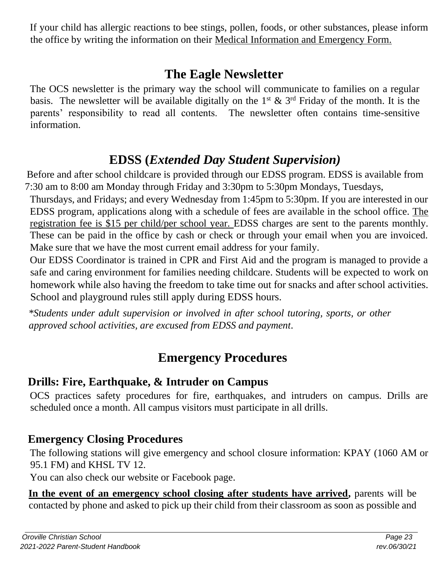If your child has allergic reactions to bee stings, pollen, foods, or other substances, please inform the office by writing the information on their Medical Information and Emergency Form.

### **The Eagle Newsletter**

The OCS newsletter is the primary way the school will communicate to families on a regular basis. The newsletter will be available digitally on the  $1<sup>st</sup> \& 3<sup>rd</sup>$  Friday of the month. It is the parents' responsibility to read all contents. The newsletter often contains time-sensitive information.

### **EDSS (***Extended Day Student Supervision)*

Before and after school childcare is provided through our EDSS program. EDSS is available from 7:30 am to 8:00 am Monday through Friday and 3:30pm to 5:30pm Mondays, Tuesdays,

Thursdays, and Fridays; and every Wednesday from 1:45pm to 5:30pm. If you are interested in our EDSS program, applications along with a schedule of fees are available in the school office. The registration fee is \$15 per child/per school year. EDSS charges are sent to the parents monthly. These can be paid in the office by cash or check or through your email when you are invoiced. Make sure that we have the most current email address for your family.

Our EDSS Coordinator is trained in CPR and First Aid and the program is managed to provide a safe and caring environment for families needing childcare. Students will be expected to work on homework while also having the freedom to take time out for snacks and after school activities. School and playground rules still apply during EDSS hours.

*\*Students under adult supervision or involved in after school tutoring, sports, or other approved school activities, are excused from EDSS and payment*.

### **Emergency Procedures**

### **Drills: Fire, Earthquake, & Intruder on Campus**

OCS practices safety procedures for fire, earthquakes, and intruders on campus. Drills are scheduled once a month. All campus visitors must participate in all drills.

### **Emergency Closing Procedures**

The following stations will give emergency and school closure information: KPAY (1060 AM or 95.1 FM) and KHSL TV 12.

You can also check our website or Facebook page.

In the event of an emergency school closing after students have arrived, parents will be contacted by phone and asked to pick up their child from their classroom as soon as possible and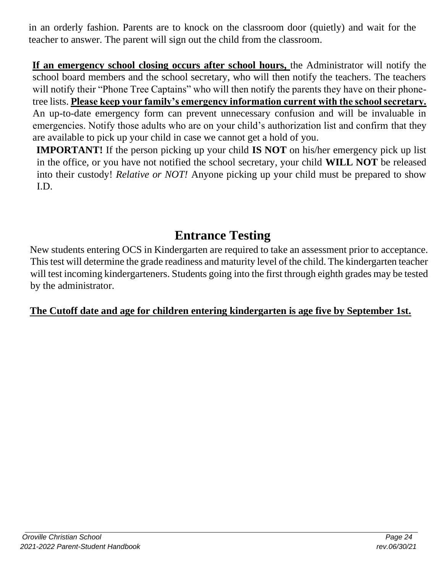in an orderly fashion. Parents are to knock on the classroom door (quietly) and wait for the teacher to answer. The parent will sign out the child from the classroom.

**If an emergency school closing occurs after school hours,** the Administrator will notify the school board members and the school secretary, who will then notify the teachers. The teachers will notify their "Phone Tree Captains" who will then notify the parents they have on their phonetree lists. **Please keep your family's emergency information current with the school secretary.**  An up-to-date emergency form can prevent unnecessary confusion and will be invaluable in emergencies. Notify those adults who are on your child's authorization list and confirm that they are available to pick up your child in case we cannot get a hold of you.

**IMPORTANT!** If the person picking up your child **IS NOT** on his/her emergency pick up list in the office, or you have not notified the school secretary, your child **WILL NOT** be released into their custody! *Relative or NOT!* Anyone picking up your child must be prepared to show I.D.

### **Entrance Testing**

New students entering OCS in Kindergarten are required to take an assessment prior to acceptance. This test will determine the grade readiness and maturity level of the child. The kindergarten teacher will test incoming kindergarteners. Students going into the first through eighth grades may be tested by the administrator.

#### **The Cutoff date and age for children entering kindergarten is age five by September 1st.**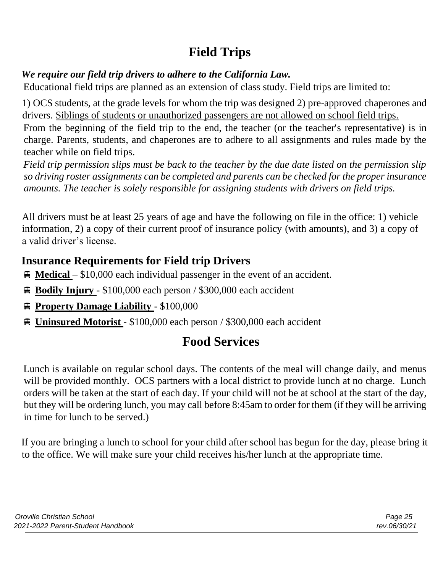## **Field Trips**

#### *We require our field trip drivers to adhere to the California Law.*

Educational field trips are planned as an extension of class study. Field trips are limited to:

1) OCS students, at the grade levels for whom the trip was designed 2) pre-approved chaperones and drivers. Siblings of students or unauthorized passengers are not allowed on school field trips.

From the beginning of the field trip to the end, the teacher (or the teacher's representative) is in charge. Parents, students, and chaperones are to adhere to all assignments and rules made by the teacher while on field trips.

*Field trip permission slips must be back to the teacher by the due date listed on the permission slip so driving roster assignments can be completed and parents can be checked for the proper insurance amounts. The teacher is solely responsible for assigning students with drivers on field trips.* 

All drivers must be at least 25 years of age and have the following on file in the office: 1) vehicle information, 2) a copy of their current proof of insurance policy (with amounts), and 3) a copy of a valid driver's license.

### **Insurance Requirements for Field trip Drivers**

- **Medical**  \$10,000 each individual passenger in the event of an accident.
- **Bodily Injury**  \$100,000 each person / \$300,000 each accident
- **Property Damage Liability**  \$100,000
- **Uninsured Motorist**  \$100,000 each person / \$300,000 each accident

### **Food Services**

Lunch is available on regular school days. The contents of the meal will change daily, and menus will be provided monthly. OCS partners with a local district to provide lunch at no charge. Lunch orders will be taken at the start of each day. If your child will not be at school at the start of the day, but they will be ordering lunch, you may call before 8:45am to order for them (if they will be arriving in time for lunch to be served.)

If you are bringing a lunch to school for your child after school has begun for the day, please bring it to the office. We will make sure your child receives his/her lunch at the appropriate time.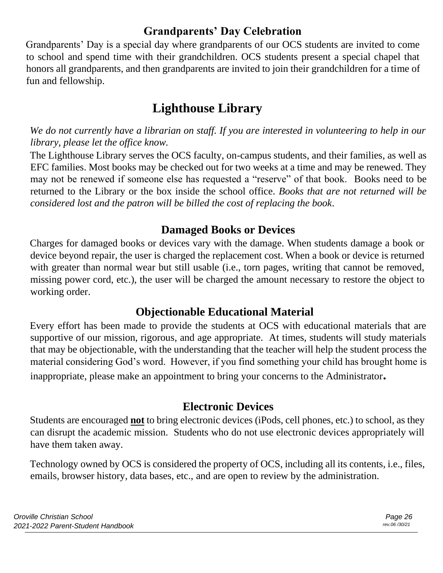#### **Grandparents' Day Celebration**

Grandparents' Day is a special day where grandparents of our OCS students are invited to come to school and spend time with their grandchildren. OCS students present a special chapel that honors all grandparents, and then grandparents are invited to join their grandchildren for a time of fun and fellowship.

### **Lighthouse Library**

*We do not currently have a librarian on staff. If you are interested in volunteering to help in our library, please let the office know.* 

The Lighthouse Library serves the OCS faculty, on-campus students, and their families, as well as EFC families. Most books may be checked out for two weeks at a time and may be renewed. They may not be renewed if someone else has requested a "reserve" of that book. Books need to be returned to the Library or the box inside the school office. *Books that are not returned will be considered lost and the patron will be billed the cost of replacing the book.*

### **Damaged Books or Devices**

Charges for damaged books or devices vary with the damage. When students damage a book or device beyond repair, the user is charged the replacement cost. When a book or device is returned with greater than normal wear but still usable (i.e., torn pages, writing that cannot be removed, missing power cord, etc.), the user will be charged the amount necessary to restore the object to working order.

### **Objectionable Educational Material**

Every effort has been made to provide the students at OCS with educational materials that are supportive of our mission, rigorous, and age appropriate. At times, students will study materials that may be objectionable, with the understanding that the teacher will help the student process the material considering God's word. However, if you find something your child has brought home is inappropriate, please make an appointment to bring your concerns to the Administrator**.**

### **Electronic Devices**

Students are encouraged **not** to bring electronic devices (iPods, cell phones, etc.) to school, as they can disrupt the academic mission. Students who do not use electronic devices appropriately will have them taken away.

Technology owned by OCS is considered the property of OCS, including all its contents, i.e., files, emails, browser history, data bases, etc., and are open to review by the administration.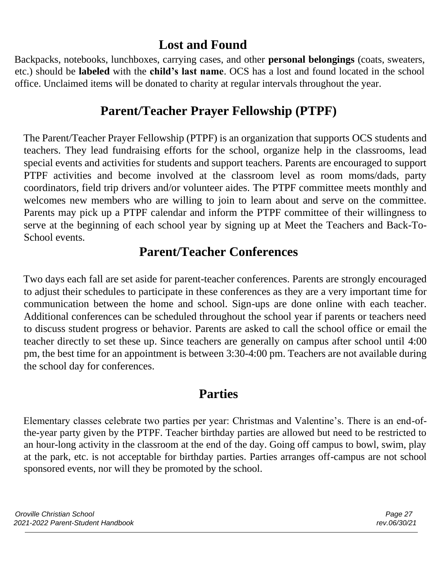### **Lost and Found**

Backpacks, notebooks, lunchboxes, carrying cases, and other **personal belongings** (coats, sweaters, etc.) should be **labeled** with the **child's last name**. OCS has a lost and found located in the school office. Unclaimed items will be donated to charity at regular intervals throughout the year.

### **Parent/Teacher Prayer Fellowship (PTPF)**

The Parent/Teacher Prayer Fellowship (PTPF) is an organization that supports OCS students and teachers. They lead fundraising efforts for the school, organize help in the classrooms, lead special events and activities for students and support teachers. Parents are encouraged to support PTPF activities and become involved at the classroom level as room moms/dads, party coordinators, field trip drivers and/or volunteer aides. The PTPF committee meets monthly and welcomes new members who are willing to join to learn about and serve on the committee. Parents may pick up a PTPF calendar and inform the PTPF committee of their willingness to serve at the beginning of each school year by signing up at Meet the Teachers and Back-To-School events.

### **Parent/Teacher Conferences**

Two days each fall are set aside for parent-teacher conferences. Parents are strongly encouraged to adjust their schedules to participate in these conferences as they are a very important time for communication between the home and school. Sign-ups are done online with each teacher. Additional conferences can be scheduled throughout the school year if parents or teachers need to discuss student progress or behavior. Parents are asked to call the school office or email the teacher directly to set these up. Since teachers are generally on campus after school until 4:00 pm, the best time for an appointment is between 3:30-4:00 pm. Teachers are not available during the school day for conferences.

### **Parties**

Elementary classes celebrate two parties per year: Christmas and Valentine's. There is an end-ofthe-year party given by the PTPF. Teacher birthday parties are allowed but need to be restricted to an hour-long activity in the classroom at the end of the day. Going off campus to bowl, swim, play at the park, etc. is not acceptable for birthday parties. Parties arranges off-campus are not school sponsored events, nor will they be promoted by the school.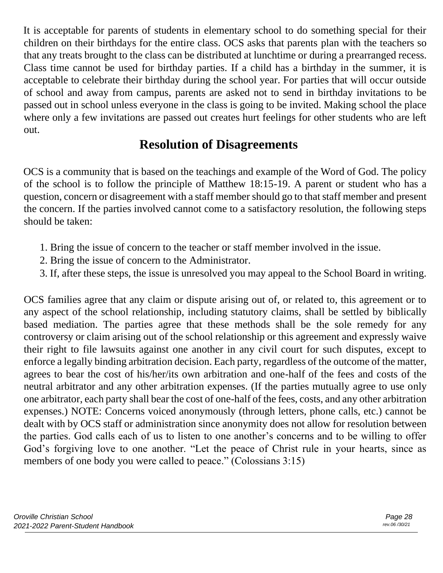It is acceptable for parents of students in elementary school to do something special for their children on their birthdays for the entire class. OCS asks that parents plan with the teachers so that any treats brought to the class can be distributed at lunchtime or during a prearranged recess. Class time cannot be used for birthday parties. If a child has a birthday in the summer, it is acceptable to celebrate their birthday during the school year. For parties that will occur outside of school and away from campus, parents are asked not to send in birthday invitations to be passed out in school unless everyone in the class is going to be invited. Making school the place where only a few invitations are passed out creates hurt feelings for other students who are left out.

### **Resolution of Disagreements**

OCS is a community that is based on the teachings and example of the Word of God. The policy of the school is to follow the principle of Matthew 18:15-19. A parent or student who has a question, concern or disagreement with a staff member should go to that staff member and present the concern. If the parties involved cannot come to a satisfactory resolution, the following steps should be taken:

- 1. Bring the issue of concern to the teacher or staff member involved in the issue.
- 2. Bring the issue of concern to the Administrator.
- 3. If, after these steps, the issue is unresolved you may appeal to the School Board in writing.

OCS families agree that any claim or dispute arising out of, or related to, this agreement or to any aspect of the school relationship, including statutory claims, shall be settled by biblically based mediation. The parties agree that these methods shall be the sole remedy for any controversy or claim arising out of the school relationship or this agreement and expressly waive their right to file lawsuits against one another in any civil court for such disputes, except to enforce a legally binding arbitration decision. Each party, regardless of the outcome of the matter, agrees to bear the cost of his/her/its own arbitration and one-half of the fees and costs of the neutral arbitrator and any other arbitration expenses. (If the parties mutually agree to use only one arbitrator, each party shall bear the cost of one-half of the fees, costs, and any other arbitration expenses.) NOTE: Concerns voiced anonymously (through letters, phone calls, etc.) cannot be dealt with by OCS staff or administration since anonymity does not allow for resolution between the parties. God calls each of us to listen to one another's concerns and to be willing to offer God's forgiving love to one another. "Let the peace of Christ rule in your hearts, since as members of one body you were called to peace." (Colossians 3:15)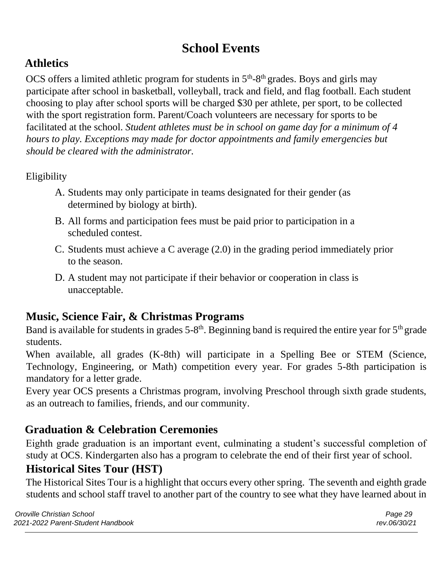### **School Events**

### **Athletics**

OCS offers a limited athletic program for students in  $5<sup>th</sup>-8<sup>th</sup>$  grades. Boys and girls may participate after school in basketball, volleyball, track and field, and flag football. Each student choosing to play after school sports will be charged \$30 per athlete, per sport, to be collected with the sport registration form. Parent/Coach volunteers are necessary for sports to be facilitated at the school. *Student athletes must be in school on game day for a minimum of 4 hours to play. Exceptions may made for doctor appointments and family emergencies but should be cleared with the administrator.*

#### Eligibility

- A. Students may only participate in teams designated for their gender (as determined by biology at birth).
- B. All forms and participation fees must be paid prior to participation in a scheduled contest.
- C. Students must achieve a C average (2.0) in the grading period immediately prior to the season.
- D. A student may not participate if their behavior or cooperation in class is unacceptable.

### **Music, Science Fair, & Christmas Programs**

Band is available for students in grades 5-8<sup>th</sup>. Beginning band is required the entire year for 5<sup>th</sup> grade students.

When available, all grades (K-8th) will participate in a Spelling Bee or STEM (Science, Technology, Engineering, or Math) competition every year. For grades 5-8th participation is mandatory for a letter grade.

Every year OCS presents a Christmas program, involving Preschool through sixth grade students, as an outreach to families, friends, and our community.

### **Graduation & Celebration Ceremonies**

Eighth grade graduation is an important event, culminating a student's successful completion of study at OCS. Kindergarten also has a program to celebrate the end of their first year of school.

### **Historical Sites Tour (HST)**

The Historical Sites Tour is a highlight that occurs every other spring. The seventh and eighth grade students and school staff travel to another part of the country to see what they have learned about in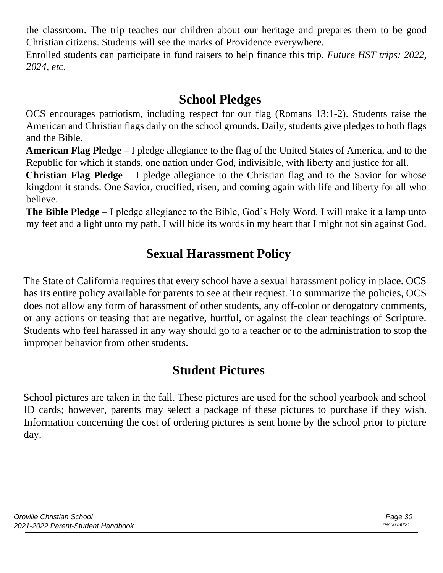the classroom. The trip teaches our children about our heritage and prepares them to be good Christian citizens. Students will see the marks of Providence everywhere.

Enrolled students can participate in fund raisers to help finance this trip. *Future HST trips: 2022, 2024, etc.* 

### **School Pledges**

OCS encourages patriotism, including respect for our flag (Romans 13:1-2). Students raise the American and Christian flags daily on the school grounds. Daily, students give pledges to both flags and the Bible.

**American Flag Pledge** – I pledge allegiance to the flag of the United States of America, and to the Republic for which it stands, one nation under God, indivisible, with liberty and justice for all.

**Christian Flag Pledge** – I pledge allegiance to the Christian flag and to the Savior for whose kingdom it stands. One Savior, crucified, risen, and coming again with life and liberty for all who believe.

**The Bible Pledge** – I pledge allegiance to the Bible, God's Holy Word. I will make it a lamp unto my feet and a light unto my path. I will hide its words in my heart that I might not sin against God.

### **Sexual Harassment Policy**

The State of California requires that every school have a sexual harassment policy in place. OCS has its entire policy available for parents to see at their request. To summarize the policies, OCS does not allow any form of harassment of other students, any off-color or derogatory comments, or any actions or teasing that are negative, hurtful, or against the clear teachings of Scripture. Students who feel harassed in any way should go to a teacher or to the administration to stop the improper behavior from other students.

### **Student Pictures**

School pictures are taken in the fall. These pictures are used for the school yearbook and school ID cards; however, parents may select a package of these pictures to purchase if they wish. Information concerning the cost of ordering pictures is sent home by the school prior to picture day.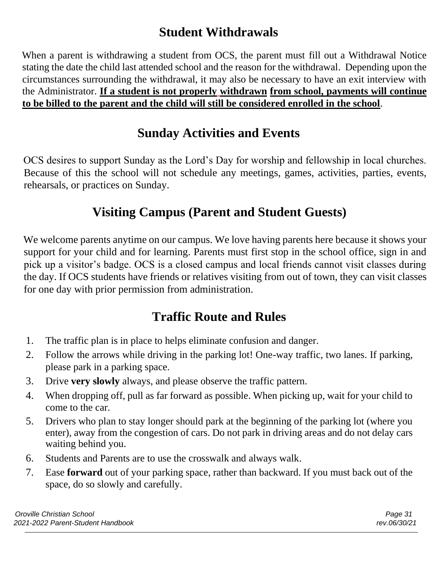### **Student Withdrawals**

When a parent is withdrawing a student from OCS, the parent must fill out a Withdrawal Notice stating the date the child last attended school and the reason for the withdrawal. Depending upon the circumstances surrounding the withdrawal, it may also be necessary to have an exit interview with the Administrator. **If a student is not properly withdrawn from school, payments will continue to be billed to the parent and the child will still be considered enrolled in the school**.

### **Sunday Activities and Events**

OCS desires to support Sunday as the Lord's Day for worship and fellowship in local churches. Because of this the school will not schedule any meetings, games, activities, parties, events, rehearsals, or practices on Sunday.

### **Visiting Campus (Parent and Student Guests)**

We welcome parents anytime on our campus. We love having parents here because it shows your support for your child and for learning. Parents must first stop in the school office, sign in and pick up a visitor's badge. OCS is a closed campus and local friends cannot visit classes during the day. If OCS students have friends or relatives visiting from out of town, they can visit classes for one day with prior permission from administration.

### **Traffic Route and Rules**

- 1. The traffic plan is in place to helps eliminate confusion and danger.
- 2. Follow the arrows while driving in the parking lot! One-way traffic, two lanes. If parking, please park in a parking space.
- 3. Drive **very slowly** always, and please observe the traffic pattern.
- 4. When dropping off, pull as far forward as possible. When picking up, wait for your child to come to the car.
- 5. Drivers who plan to stay longer should park at the beginning of the parking lot (where you enter), away from the congestion of cars. Do not park in driving areas and do not delay cars waiting behind you.
- 6. Students and Parents are to use the crosswalk and always walk.
- 7. Ease **forward** out of your parking space, rather than backward. If you must back out of the space, do so slowly and carefully.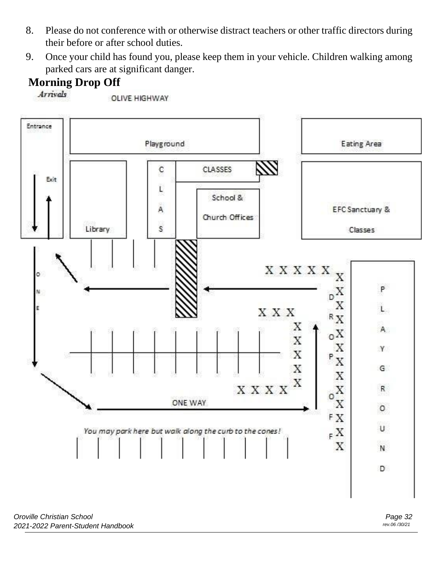- 8. Please do not conference with or otherwise distract teachers or other traffic directors during their before or after school duties.
- 9. Once your child has found you, please keep them in your vehicle. Children walking among parked cars are at significant danger.

#### **Morning Drop Off** Arrivals

OLIVE HIGHWAY

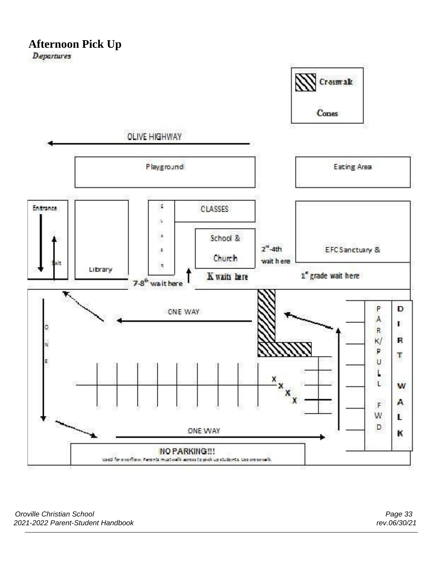**Afternoon Pick Up** 

**Departures** 



*Oroville Christian School Page 33* 2021-2022 Parent-Student Handbook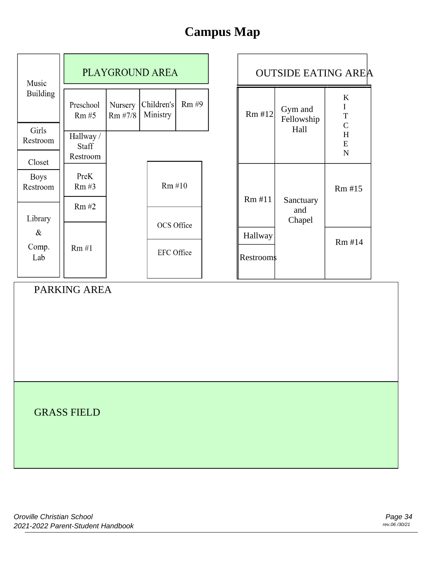## **Campus Map**

| Music                             | PLAYGROUND AREA                |                    |                        | <b>OUTSIDE EATING AREA</b> |                  |                       |                                                  |
|-----------------------------------|--------------------------------|--------------------|------------------------|----------------------------|------------------|-----------------------|--------------------------------------------------|
| Building                          | Preschool<br>Rm#5              | Nursery<br>Rm #7/8 | Children's<br>Ministry | Rm #9                      | Rm #12           | Gym and<br>Fellowship | $\rm K$<br>$\bf I$<br>$\mathbf T$<br>$\mathbf C$ |
| Girls<br>Restroom                 | Hallway /<br>Staff<br>Restroom |                    |                        |                            |                  | Hall                  | $\overline{H}$<br>${\bf E}$<br>$\mathbf N$       |
| Closet<br><b>Boys</b><br>Restroom | PreK<br>$Rm \#3$               |                    | Rm #10                 |                            | Rm #11           | Sanctuary             | Rm #15                                           |
| Library<br>$\&$                   | Rm#2                           |                    | OCS Office             |                            | Hallway          | and<br>Chapel         |                                                  |
| Comp.<br>Lab                      | Rm#1                           |                    | <b>EFC</b> Office      |                            | <b>Restrooms</b> |                       | Rm #14                                           |
|                                   | PARKING AREA                   |                    |                        |                            |                  |                       |                                                  |
|                                   |                                |                    |                        |                            |                  |                       |                                                  |
|                                   |                                |                    |                        |                            |                  |                       |                                                  |
|                                   | <b>GRASS FIELD</b>             |                    |                        |                            |                  |                       |                                                  |
|                                   |                                |                    |                        |                            |                  |                       |                                                  |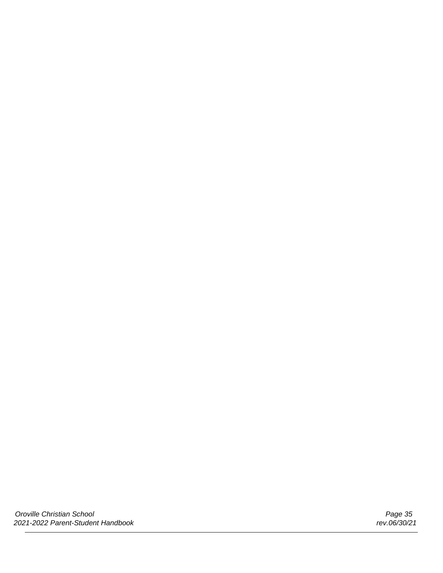*Oroville Christian School Page 35 2021 -202 2 Parent -Student Handbook rev.06/30/21*